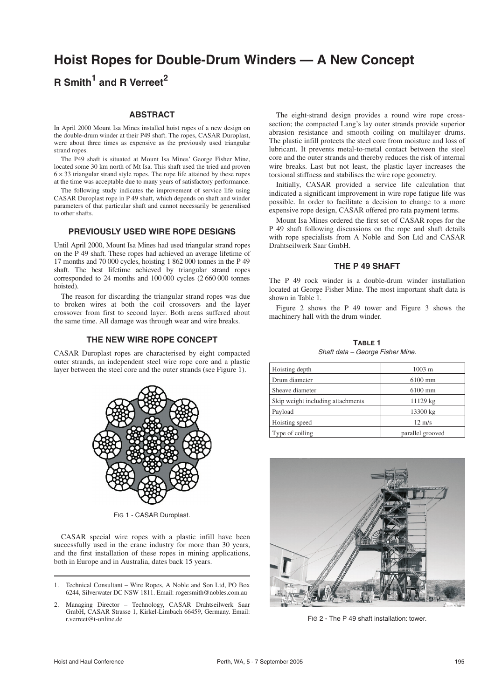# **Hoist Ropes for Double-Drum Winders — A New Concept**

# **R Smith<sup>1</sup> and R Verreet<sup>2</sup>**

#### **ABSTRACT**

In April 2000 Mount Isa Mines installed hoist ropes of a new design on the double-drum winder at their P49 shaft. The ropes, CASAR Duroplast, were about three times as expensive as the previously used triangular strand ropes.

The P49 shaft is situated at Mount Isa Mines' George Fisher Mine, located some 30 km north of Mt Isa. This shaft used the tried and proven  $6 \times 33$  triangular strand style ropes. The rope life attained by these ropes at the time was acceptable due to many years of satisfactory performance.

The following study indicates the improvement of service life using CASAR Duroplast rope in P 49 shaft, which depends on shaft and winder parameters of that particular shaft and cannot necessarily be generalised to other shafts.

# **PREVIOUSLY USED WIRE ROPE DESIGNS**

Until April 2000, Mount Isa Mines had used triangular strand ropes on the P 49 shaft. These ropes had achieved an average lifetime of 17 months and 70 000 cycles, hoisting 1 862 000 tonnes in the P 49 shaft. The best lifetime achieved by triangular strand ropes corresponded to 24 months and 100 000 cycles (2 660 000 tonnes hoisted).

The reason for discarding the triangular strand ropes was due to broken wires at both the coil crossovers and the layer crossover from first to second layer. Both areas suffered about the same time. All damage was through wear and wire breaks.

### **THE NEW WIRE ROPE CONCEPT**

CASAR Duroplast ropes are characterised by eight compacted outer strands, an independent steel wire rope core and a plastic layer between the steel core and the outer strands (see Figure 1).



FIG 1 - CASAR Duroplast.

CASAR special wire ropes with a plastic infill have been successfully used in the crane industry for more than 30 years, and the first installation of these ropes in mining applications, both in Europe and in Australia, dates back 15 years.

- 1. Technical Consultant Wire Ropes, A Noble and Son Ltd, PO Box 6244, Silverwater DC NSW 1811. Email: rogersmith@nobles.com.au
- 2. Managing Director Technology, CASAR Drahtseilwerk Saar GmbH, CASAR Strasse 1, Kirkel-Limbach 66459, Germany. Email: r.verreet@t-online.de

The eight-strand design provides a round wire rope crosssection; the compacted Lang's lay outer strands provide superior abrasion resistance and smooth coiling on multilayer drums. The plastic infill protects the steel core from moisture and loss of lubricant. It prevents metal-to-metal contact between the steel core and the outer strands and thereby reduces the risk of internal wire breaks. Last but not least, the plastic layer increases the torsional stiffness and stabilises the wire rope geometry.

Initially, CASAR provided a service life calculation that indicated a significant improvement in wire rope fatigue life was possible. In order to facilitate a decision to change to a more expensive rope design, CASAR offered pro rata payment terms.

Mount Isa Mines ordered the first set of CASAR ropes for the P 49 shaft following discussions on the rope and shaft details with rope specialists from A Noble and Son Ltd and CASAR Drahtseilwerk Saar GmbH.

### **THE P 49 SHAFT**

The P 49 rock winder is a double-drum winder installation located at George Fisher Mine. The most important shaft data is shown in Table 1.

Figure 2 shows the P 49 tower and Figure 3 shows the machinery hall with the drum winder.

**TABLE 1** Shaft data – George Fisher Mine.

| Hoisting depth                    | $1003 \; \mathrm{m}$ |
|-----------------------------------|----------------------|
| Drum diameter                     | $6100$ mm            |
| Sheave diameter                   | $6100 \text{ mm}$    |
| Skip weight including attachments | 11129 kg             |
| Payload                           | 13300 kg             |
| Hoisting speed                    | $12 \text{ m/s}$     |
| Type of coiling                   | parallel grooved     |



FIG 2 - The P 49 shaft installation: tower.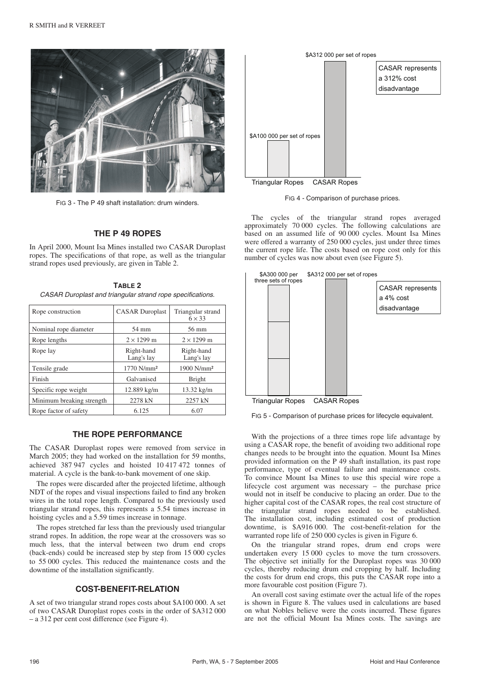

FIG 3 - The P 49 shaft installation: drum winders.

# **THE P 49 ROPES**

In April 2000, Mount Isa Mines installed two CASAR Duroplast ropes. The specifications of that rope, as well as the triangular strand ropes used previously, are given in Table 2.

**TABLE 2** CASAR Duroplast and triangular strand rope specifications.

| Rope construction         | <b>CASAR</b> Duroplast   | Triangular strand<br>$6 \times 33$ |
|---------------------------|--------------------------|------------------------------------|
| Nominal rope diameter     | 54 mm                    | 56 mm                              |
| Rope lengths              | $2 \times 1299$ m        | $2 \times 1299$ m                  |
| Rope lay                  | Right-hand<br>Lang's lay | Right-hand<br>Lang's lay           |
| Tensile grade             | 1770 N/mm <sup>2</sup>   | $1900$ N/mm <sup>2</sup>           |
| Finish                    | Galvanised               | <b>Bright</b>                      |
| Specific rope weight      | 12.889 kg/m              | $13.32 \text{ kg/m}$               |
| Minimum breaking strength | 2278 kN                  | 2257 kN                            |
| Rope factor of safety     | 6.125                    | 6.07                               |

# **THE ROPE PERFORMANCE**

The CASAR Duroplast ropes were removed from service in March 2005; they had worked on the installation for 59 months, achieved 387 947 cycles and hoisted 10 417 472 tonnes of material. A cycle is the bank-to-bank movement of one skip.

The ropes were discarded after the projected lifetime, although NDT of the ropes and visual inspections failed to find any broken wires in the total rope length. Compared to the previously used triangular strand ropes, this represents a 5.54 times increase in hoisting cycles and a 5.59 times increase in tonnage.

The ropes stretched far less than the previously used triangular strand ropes. In addition, the rope wear at the crossovers was so much less, that the interval between two drum end crops (back-ends) could be increased step by step from 15 000 cycles to 55 000 cycles. This reduced the maintenance costs and the downtime of the installation significantly.

## **COST-BENEFIT-RELATION**

A set of two triangular strand ropes costs about \$A100 000. A set of two CASAR Duroplast ropes costs in the order of \$A312 000 – a 312 per cent cost difference (see Figure 4).



FIG 4 - Comparison of purchase prices.

The cycles of the triangular strand ropes averaged approximately 70 000 cycles. The following calculations are based on an assumed life of 90 000 cycles. Mount Isa Mines were offered a warranty of 250 000 cycles, just under three times the current rope life. The costs based on rope cost only for this number of cycles was now about even (see Figure 5).



Triangular Ropes CASAR Ropes

FIG 5 - Comparison of purchase prices for lifecycle equivalent.

With the projections of a three times rope life advantage by using a CASAR rope, the benefit of avoiding two additional rope changes needs to be brought into the equation. Mount Isa Mines provided information on the P 49 shaft installation, its past rope performance, type of eventual failure and maintenance costs. To convince Mount Isa Mines to use this special wire rope a lifecycle cost argument was necessary – the purchase price would not in itself be conducive to placing an order. Due to the higher capital cost of the CASAR ropes, the real cost structure of the triangular strand ropes needed to be established. The installation cost, including estimated cost of production downtime, is \$A916 000. The cost-benefit-relation for the warranted rope life of 250 000 cycles is given in Figure 6.

On the triangular strand ropes, drum end crops were undertaken every 15 000 cycles to move the turn crossovers. The objective set initially for the Duroplast ropes was 30 000 cycles, thereby reducing drum end cropping by half. Including the costs for drum end crops, this puts the CASAR rope into a more favourable cost position (Figure 7).

An overall cost saving estimate over the actual life of the ropes is shown in Figure 8. The values used in calculations are based on what Nobles believe were the costs incurred. These figures are not the official Mount Isa Mines costs. The savings are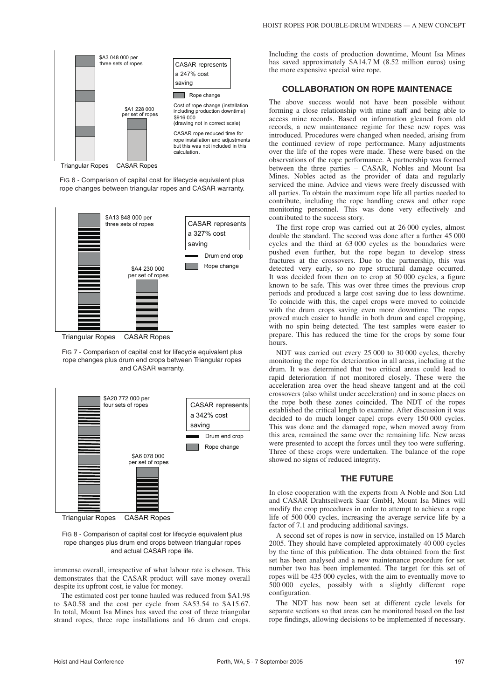

Triangular Ropes CASAR Ropes

FIG 6 - Comparison of capital cost for lifecycle equivalent plus rope changes between triangular ropes and CASAR warranty.



Triangular Ropes CASAR Ropes

FIG 7 - Comparison of capital cost for lifecycle equivalent plus rope changes plus drum end crops between Triangular ropes and CASAR warranty.





FIG 8 - Comparison of capital cost for lifecycle equivalent plus rope changes plus drum end crops between triangular ropes and actual CASAR rope life.

immense overall, irrespective of what labour rate is chosen. This demonstrates that the CASAR product will save money overall despite its upfront cost, ie value for money.

The estimated cost per tonne hauled was reduced from \$A1.98 to \$A0.58 and the cost per cycle from \$A53.54 to \$A15.67. In total, Mount Isa Mines has saved the cost of three triangular strand ropes, three rope installations and 16 drum end crops.

Including the costs of production downtime, Mount Isa Mines has saved approximately \$A14.7 M (8.52 million euros) using the more expensive special wire rope.

#### **COLLABORATION ON ROPE MAINTENACE**

The above success would not have been possible without forming a close relationship with mine staff and being able to access mine records. Based on information gleaned from old records, a new maintenance regime for these new ropes was introduced. Procedures were changed when needed, arising from the continued review of rope performance. Many adjustments over the life of the ropes were made. These were based on the observations of the rope performance. A partnership was formed between the three parties - CASAR, Nobles and Mount Isa Mines. Nobles acted as the provider of data and regularly serviced the mine. Advice and views were freely discussed with all parties. To obtain the maximum rope life all parties needed to contribute, including the rope handling crews and other rope monitoring personnel. This was done very effectively and contributed to the success story.

The first rope crop was carried out at 26 000 cycles, almost double the standard. The second was done after a further 45 000 cycles and the third at 63 000 cycles as the boundaries were pushed even further, but the rope began to develop stress fractures at the crossovers. Due to the partnership, this was detected very early, so no rope structural damage occurred. It was decided from then on to crop at 50 000 cycles, a figure known to be safe. This was over three times the previous crop periods and produced a large cost saving due to less downtime. To coincide with this, the capel crops were moved to coincide with the drum crops saving even more downtime. The ropes proved much easier to handle in both drum and capel cropping, with no spin being detected. The test samples were easier to prepare. This has reduced the time for the crops by some four hours.

NDT was carried out every 25 000 to 30 000 cycles, thereby monitoring the rope for deterioration in all areas, including at the drum. It was determined that two critical areas could lead to rapid deterioration if not monitored closely. These were the acceleration area over the head sheave tangent and at the coil crossovers (also whilst under acceleration) and in some places on the rope both these zones coincided. The NDT of the ropes established the critical length to examine. After discussion it was decided to do much longer capel crops every 150 000 cycles. This was done and the damaged rope, when moved away from this area, remained the same over the remaining life. New areas were presented to accept the forces until they too were suffering. Three of these crops were undertaken. The balance of the rope showed no signs of reduced integrity.

#### **THE FUTURE**

In close cooperation with the experts from A Noble and Son Ltd and CASAR Drahtseilwerk Saar GmbH, Mount Isa Mines will modify the crop procedures in order to attempt to achieve a rope life of 500 000 cycles, increasing the average service life by a factor of 7.1 and producing additional savings.

A second set of ropes is now in service, installed on 15 March 2005. They should have completed approximately 40 000 cycles by the time of this publication. The data obtained from the first set has been analysed and a new maintenance procedure for set number two has been implemented. The target for this set of ropes will be 435 000 cycles, with the aim to eventually move to 500 000 cycles, possibly with a slightly different rope configuration.

The NDT has now been set at different cycle levels for separate sections so that areas can be monitored based on the last rope findings, allowing decisions to be implemented if necessary.